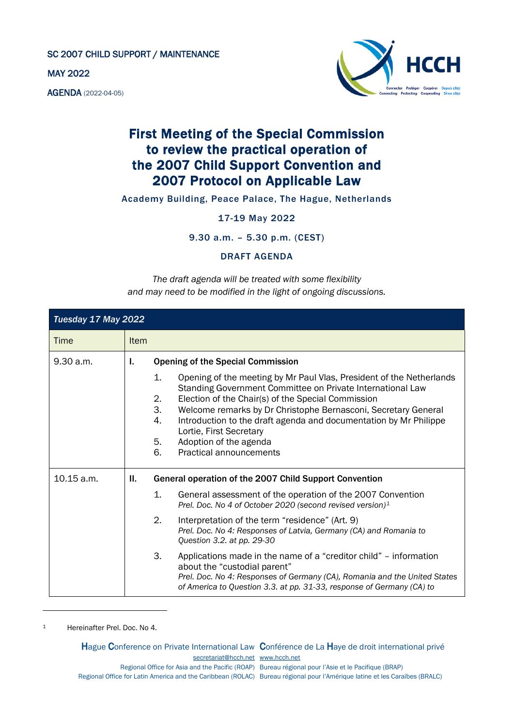SC 2007 CHILD SUPPORT / MAINTENANCE

MAY 2022

AGENDA (2022-04-05)



## First Meeting of the Special Commission to review the practical operation of the 2007 Child Support Convention and 2007 Protocol on Applicable Law

Academy Building, Peace Palace, The Hague, Netherlands

17-19 May 2022

9.30 a.m. – 5.30 p.m. (CEST)

DRAFT AGENDA

*The draft agenda will be treated with some flexibility and may need to be modified in the light of ongoing discussions.*

| Tuesday 17 May 2022 |             |                                  |                                                                                                                                                                                                                                                                                                                                                                                                                                                                    |  |
|---------------------|-------------|----------------------------------|--------------------------------------------------------------------------------------------------------------------------------------------------------------------------------------------------------------------------------------------------------------------------------------------------------------------------------------------------------------------------------------------------------------------------------------------------------------------|--|
| Time                | <b>Item</b> |                                  |                                                                                                                                                                                                                                                                                                                                                                                                                                                                    |  |
| 9.30 a.m.           | Ъ.          | 1.<br>2.<br>3.<br>4.<br>5.<br>6. | <b>Opening of the Special Commission</b><br>Opening of the meeting by Mr Paul Vlas, President of the Netherlands<br>Standing Government Committee on Private International Law<br>Election of the Chair(s) of the Special Commission<br>Welcome remarks by Dr Christophe Bernasconi, Secretary General<br>Introduction to the draft agenda and documentation by Mr Philippe<br>Lortie, First Secretary<br>Adoption of the agenda<br><b>Practical announcements</b> |  |
| 10.15 a.m.          | H.          |                                  | General operation of the 2007 Child Support Convention                                                                                                                                                                                                                                                                                                                                                                                                             |  |
|                     |             | 1.                               | General assessment of the operation of the 2007 Convention<br>Prel. Doc. No 4 of October 2020 (second revised version) <sup>1</sup>                                                                                                                                                                                                                                                                                                                                |  |
|                     |             | 2.                               | Interpretation of the term "residence" (Art. 9)<br>Prel. Doc. No 4: Responses of Latvia, Germany (CA) and Romania to<br>Question 3.2. at pp. 29-30                                                                                                                                                                                                                                                                                                                 |  |
|                     |             | 3.                               | Applications made in the name of a "creditor child" – information<br>about the "custodial parent"<br>Prel. Doc. No 4: Responses of Germany (CA), Romania and the United States<br>of America to Question 3.3. at pp. 31-33, response of Germany (CA) to                                                                                                                                                                                                            |  |

<span id="page-0-0"></span>1 Hereinafter Prel. Doc. No 4.

Hague Conference on Private International Law Conférence de La Haye de droit international privé [secretariat@hcch.net](mailto:secretariat@hcch.net) [www.hcch.net](http://www.hcch.net/) Regional Office for Asia and the Pacific (ROAP) Bureau régional pour l'Asie et le Pacifique (BRAP) Regional Office for Latin America and the Caribbean (ROLAC) Bureau régional pour l'Amérique latine et les Caraïbes (BRALC)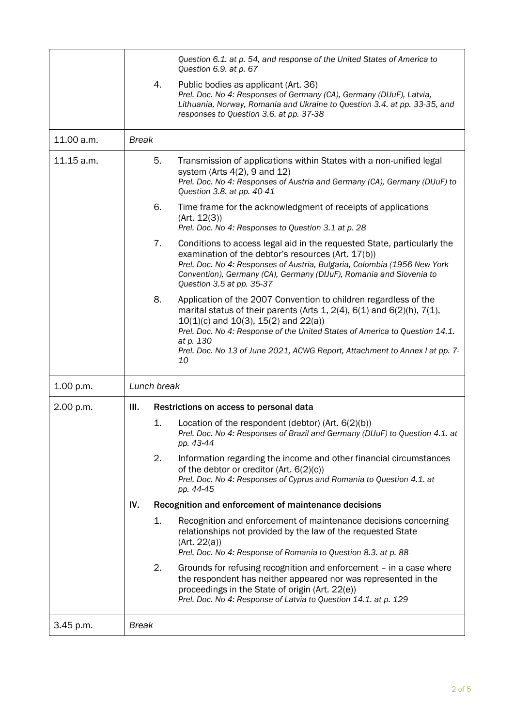|            |              |                                         | Question 6.1. at p. 54, and response of the United States of America to<br>Question 6.9. at p. 67                                                                                                                                                                                                                                                                                        |
|------------|--------------|-----------------------------------------|------------------------------------------------------------------------------------------------------------------------------------------------------------------------------------------------------------------------------------------------------------------------------------------------------------------------------------------------------------------------------------------|
|            |              | 4.                                      | Public bodies as applicant (Art. 36)<br>Prel. Doc. No 4: Responses of Germany (CA), Germany (DIJuF), Latvia,<br>Lithuania, Norway, Romania and Ukraine to Question 3.4. at pp. 33-35, and<br>responses to Question 3.6. at pp. 37-38                                                                                                                                                     |
| 11.00 a.m. | <b>Break</b> |                                         |                                                                                                                                                                                                                                                                                                                                                                                          |
| 11.15 a.m. |              | 5.                                      | Transmission of applications within States with a non-unified legal<br>system (Arts $4(2)$ , 9 and 12)<br>Prel. Doc. No 4: Responses of Austria and Germany (CA), Germany (DIJuF) to<br>Question 3.8. at pp. 40-41                                                                                                                                                                       |
|            |              | 6.                                      | Time frame for the acknowledgment of receipts of applications<br>(Art. 12(3))<br>Prel. Doc. No 4: Responses to Question 3.1 at p. 28                                                                                                                                                                                                                                                     |
|            |              | 7.                                      | Conditions to access legal aid in the requested State, particularly the<br>examination of the debtor's resources (Art. 17(b))<br>Prel. Doc. No 4: Responses of Austria, Bulgaria, Colombia (1956 New York<br>Convention), Germany (CA), Germany (DIJuF), Romania and Slovenia to<br>Question 3.5 at pp. 35-37                                                                            |
|            |              | 8.                                      | Application of the 2007 Convention to children regardless of the<br>marital status of their parents (Arts 1, $2(4)$ , $6(1)$ and $6(2)(h)$ , $7(1)$ ,<br>$10(1)(c)$ and $10(3)$ , $15(2)$ and $22(a)$ )<br>Prel. Doc. No 4: Response of the United States of America to Question 14.1.<br>at p. 130<br>Prel. Doc. No 13 of June 2021, ACWG Report, Attachment to Annex I at pp. 7-<br>10 |
| 1.00 p.m.  |              | Lunch break                             |                                                                                                                                                                                                                                                                                                                                                                                          |
| 2.00 p.m.  | III.         | Restrictions on access to personal data |                                                                                                                                                                                                                                                                                                                                                                                          |
|            |              | 1.                                      | Location of the respondent (debtor) (Art. $6(2)(b)$ )<br>Prel. Doc. No 4: Responses of Brazil and Germany (DIJuF) to Question 4.1. at<br>pp. 43-44                                                                                                                                                                                                                                       |
|            |              | 2.                                      | Information regarding the income and other financial circumstances<br>of the debtor or creditor (Art. 6(2)(c))<br>Prel. Doc. No 4: Responses of Cyprus and Romania to Question 4.1. at<br>pp. 44-45                                                                                                                                                                                      |
|            | IV.          |                                         | Recognition and enforcement of maintenance decisions                                                                                                                                                                                                                                                                                                                                     |
|            |              | 1.                                      | Recognition and enforcement of maintenance decisions concerning<br>relationships not provided by the law of the requested State<br>(Art. 22(a))<br>Prel. Doc. No 4: Response of Romania to Question 8.3. at p. 88                                                                                                                                                                        |
|            |              | 2.                                      | Grounds for refusing recognition and enforcement – in a case where<br>the respondent has neither appeared nor was represented in the<br>proceedings in the State of origin (Art. 22(e))<br>Prel. Doc. No 4: Response of Latvia to Question 14.1. at p. 129                                                                                                                               |
| 3.45 p.m.  | <b>Break</b> |                                         |                                                                                                                                                                                                                                                                                                                                                                                          |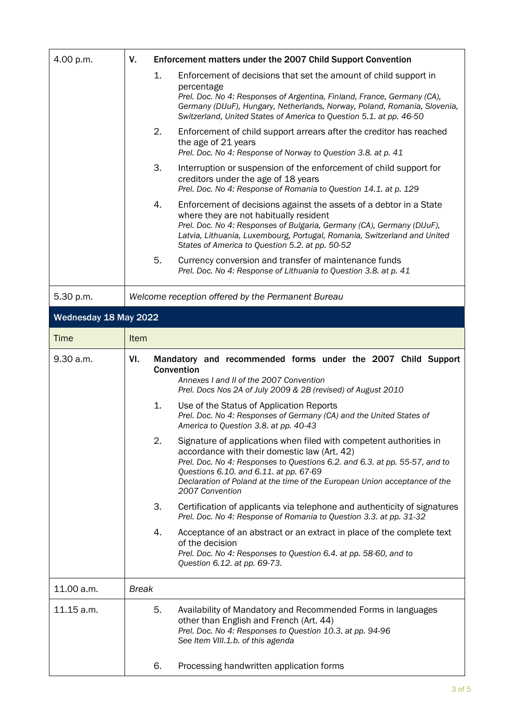| 4.00 p.m.             | V.           | Enforcement matters under the 2007 Child Support Convention                                                                                                                                                                                                                                                                                      |
|-----------------------|--------------|--------------------------------------------------------------------------------------------------------------------------------------------------------------------------------------------------------------------------------------------------------------------------------------------------------------------------------------------------|
|                       |              | 1.<br>Enforcement of decisions that set the amount of child support in<br>percentage<br>Prel. Doc. No 4: Responses of Argentina, Finland, France, Germany (CA),<br>Germany (DIJuF), Hungary, Netherlands, Norway, Poland, Romania, Slovenia,<br>Switzerland, United States of America to Question 5.1. at pp. 46-50                              |
|                       |              | 2.<br>Enforcement of child support arrears after the creditor has reached<br>the age of 21 years<br>Prel. Doc. No 4: Response of Norway to Question 3.8. at p. 41                                                                                                                                                                                |
|                       |              | 3.<br>Interruption or suspension of the enforcement of child support for<br>creditors under the age of 18 years<br>Prel. Doc. No 4: Response of Romania to Question 14.1. at p. 129                                                                                                                                                              |
|                       |              | 4.<br>Enforcement of decisions against the assets of a debtor in a State<br>where they are not habitually resident<br>Prel. Doc. No 4: Responses of Bulgaria, Germany (CA), Germany (DIJuF),<br>Latvia, Lithuania, Luxembourg, Portugal, Romania, Switzerland and United<br>States of America to Question 5.2. at pp. 50-52                      |
|                       |              | 5.<br>Currency conversion and transfer of maintenance funds<br>Prel. Doc. No 4: Response of Lithuania to Question 3.8. at p. 41                                                                                                                                                                                                                  |
| 5.30 p.m.             |              | Welcome reception offered by the Permanent Bureau                                                                                                                                                                                                                                                                                                |
| Wednesday 18 May 2022 |              |                                                                                                                                                                                                                                                                                                                                                  |
| <b>Time</b>           | Item         |                                                                                                                                                                                                                                                                                                                                                  |
| 9.30 a.m.             | VI.          | Mandatory and recommended forms under the 2007 Child Support<br>Convention<br>Annexes I and II of the 2007 Convention<br>Prel. Docs Nos 2A of July 2009 & 2B (revised) of August 2010                                                                                                                                                            |
|                       |              | 1.<br>Use of the Status of Application Reports<br>Prel. Doc. No 4: Responses of Germany (CA) and the United States of<br>America to Question 3.8. at pp. 40-43                                                                                                                                                                                   |
|                       |              | 2.<br>Signature of applications when filed with competent authorities in<br>accordance with their domestic law (Art. 42)<br>Prel. Doc. No 4: Responses to Questions 6.2. and 6.3. at pp. 55-57, and to<br>Questions 6.10. and 6.11. at pp. 67-69<br>Declaration of Poland at the time of the European Union acceptance of the<br>2007 Convention |
|                       |              | 3.<br>Certification of applicants via telephone and authenticity of signatures<br>Prel. Doc. No 4: Response of Romania to Question 3.3. at pp. 31-32                                                                                                                                                                                             |
|                       |              | 4.<br>Acceptance of an abstract or an extract in place of the complete text<br>of the decision<br>Prel. Doc. No 4: Responses to Question 6.4. at pp. 58-60, and to<br>Question 6.12. at pp. 69-73.                                                                                                                                               |
| 11.00 a.m.            | <b>Break</b> |                                                                                                                                                                                                                                                                                                                                                  |
| 11.15 a.m.            |              | 5.<br>Availability of Mandatory and Recommended Forms in languages<br>other than English and French (Art. 44)<br>Prel. Doc. No 4: Responses to Question 10.3. at pp. 94-96<br>See Item VIII.1.b. of this agenda                                                                                                                                  |
|                       |              | Processing handwritten application forms<br>6.                                                                                                                                                                                                                                                                                                   |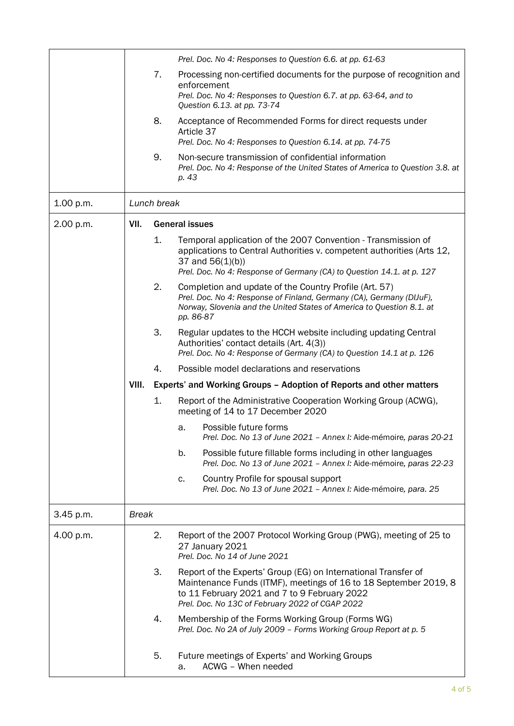|           |              |                       | Prel. Doc. No 4: Responses to Question 6.6. at pp. 61-63                                                                                                                                                                                |  |
|-----------|--------------|-----------------------|-----------------------------------------------------------------------------------------------------------------------------------------------------------------------------------------------------------------------------------------|--|
|           |              | 7.                    | Processing non-certified documents for the purpose of recognition and<br>enforcement<br>Prel. Doc. No 4: Responses to Question 6.7. at pp. 63-64, and to<br>Question 6.13. at pp. 73-74                                                 |  |
|           |              | 8.                    | Acceptance of Recommended Forms for direct requests under<br>Article 37                                                                                                                                                                 |  |
|           |              |                       | Prel. Doc. No 4: Responses to Question 6.14. at pp. 74-75                                                                                                                                                                               |  |
|           |              | 9.                    | Non-secure transmission of confidential information<br>Prel. Doc. No 4: Response of the United States of America to Question 3.8. at<br>p. 43                                                                                           |  |
| 1.00 p.m. | Lunch break  |                       |                                                                                                                                                                                                                                         |  |
| 2.00 p.m. | VII.         | <b>General issues</b> |                                                                                                                                                                                                                                         |  |
|           |              | 1.                    | Temporal application of the 2007 Convention - Transmission of<br>applications to Central Authorities v. competent authorities (Arts 12,<br>37 and $56(1)(b)$ )<br>Prel. Doc. No 4: Response of Germany (CA) to Question 14.1. at p. 127 |  |
|           |              | 2.                    | Completion and update of the Country Profile (Art. 57)<br>Prel. Doc. No 4: Response of Finland, Germany (CA), Germany (DIJuF),<br>Norway, Slovenia and the United States of America to Question 8.1. at<br>pp. 86-87                    |  |
|           |              | 3.                    | Regular updates to the HCCH website including updating Central<br>Authorities' contact details (Art. 4(3))<br>Prel. Doc. No 4: Response of Germany (CA) to Question 14.1 at p. 126                                                      |  |
|           |              | 4.                    | Possible model declarations and reservations                                                                                                                                                                                            |  |
|           | VIII.        |                       | Experts' and Working Groups - Adoption of Reports and other matters                                                                                                                                                                     |  |
|           |              | 1.                    | Report of the Administrative Cooperation Working Group (ACWG),<br>meeting of 14 to 17 December 2020                                                                                                                                     |  |
|           |              |                       | Possible future forms<br>a.<br>Prel. Doc. No 13 of June 2021 - Annex I: Aide-mémoire, paras 20-21                                                                                                                                       |  |
|           |              |                       | b.<br>Possible future fillable forms including in other languages<br>Prel. Doc. No 13 of June 2021 - Annex I: Aide-mémoire, paras 22-23                                                                                                 |  |
|           |              |                       | Country Profile for spousal support<br>c.<br>Prel. Doc. No 13 of June 2021 - Annex I: Aide-mémoire, para. 25                                                                                                                            |  |
| 3.45 p.m. | <b>Break</b> |                       |                                                                                                                                                                                                                                         |  |
| 4.00 p.m. |              | 2.                    | Report of the 2007 Protocol Working Group (PWG), meeting of 25 to<br>27 January 2021<br>Prel. Doc. No 14 of June 2021                                                                                                                   |  |
|           |              | 3.                    | Report of the Experts' Group (EG) on International Transfer of<br>Maintenance Funds (ITMF), meetings of 16 to 18 September 2019, 8<br>to 11 February 2021 and 7 to 9 February 2022<br>Prel. Doc. No 13C of February 2022 of CGAP 2022   |  |
|           |              | 4.                    | Membership of the Forms Working Group (Forms WG)<br>Prel. Doc. No 2A of July 2009 - Forms Working Group Report at p. 5                                                                                                                  |  |
|           |              | 5.                    | Future meetings of Experts' and Working Groups<br>ACWG - When needed<br>a.                                                                                                                                                              |  |